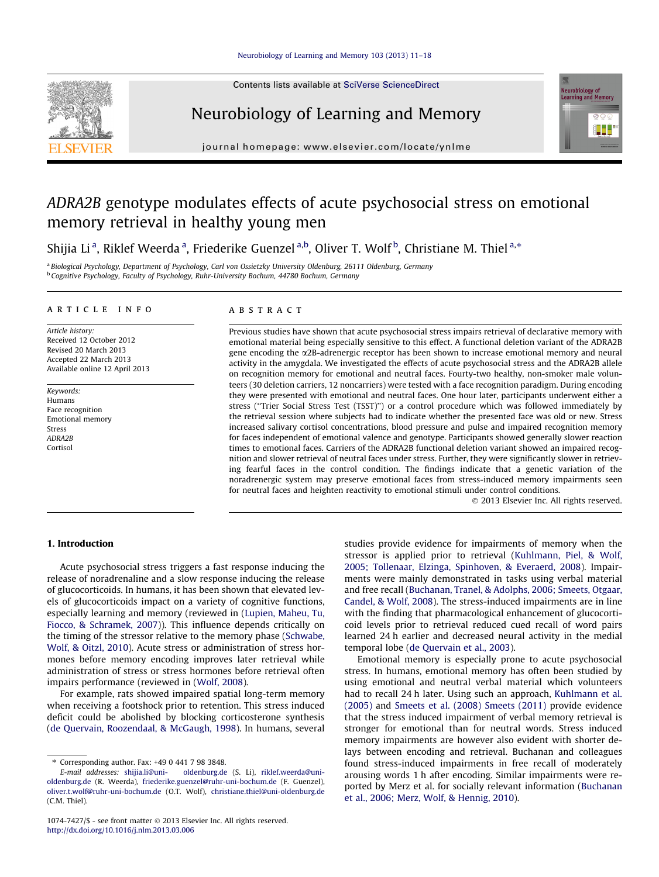

Contents lists available at [SciVerse ScienceDirect](http://www.sciencedirect.com/science/journal/10747427)

# Neurobiology of Learning and Memory



journal homepage: [www.elsevier.com/locate/ynlme](http://www.elsevier.com/locate/ynlme)

# ADRA2B genotype modulates effects of acute psychosocial stress on emotional memory retrieval in healthy young men

Shijia Li<sup>a</sup>, Riklef Weerda<sup>a</sup>, Friederike Guenzel<sup>a,b</sup>, Oliver T. Wolf<sup>b</sup>, Christiane M. Thiel<sup>a,\*</sup>

<sup>a</sup> Biological Psychology, Department of Psychology, Carl von Ossietzky University Oldenburg, 26111 Oldenburg, Germany <sup>b</sup> Cognitive Psychology, Faculty of Psychology, Ruhr-University Bochum, 44780 Bochum, Germany

## article info

Article history: Received 12 October 2012 Revised 20 March 2013 Accepted 22 March 2013 Available online 12 April 2013

Keywords: Humans Face recognition Emotional memory Stress ADRA2B Cortisol

#### **ABSTRACT**

Previous studies have shown that acute psychosocial stress impairs retrieval of declarative memory with emotional material being especially sensitive to this effect. A functional deletion variant of the ADRA2B gene encoding the a2B-adrenergic receptor has been shown to increase emotional memory and neural activity in the amygdala. We investigated the effects of acute psychosocial stress and the ADRA2B allele on recognition memory for emotional and neutral faces. Fourty-two healthy, non-smoker male volunteers (30 deletion carriers, 12 noncarriers) were tested with a face recognition paradigm. During encoding they were presented with emotional and neutral faces. One hour later, participants underwent either a stress (''Trier Social Stress Test (TSST)'') or a control procedure which was followed immediately by the retrieval session where subjects had to indicate whether the presented face was old or new. Stress increased salivary cortisol concentrations, blood pressure and pulse and impaired recognition memory for faces independent of emotional valence and genotype. Participants showed generally slower reaction times to emotional faces. Carriers of the ADRA2B functional deletion variant showed an impaired recognition and slower retrieval of neutral faces under stress. Further, they were significantly slower in retrieving fearful faces in the control condition. The findings indicate that a genetic variation of the noradrenergic system may preserve emotional faces from stress-induced memory impairments seen for neutral faces and heighten reactivity to emotional stimuli under control conditions.

- 2013 Elsevier Inc. All rights reserved.

#### 1. Introduction

Acute psychosocial stress triggers a fast response inducing the release of noradrenaline and a slow response inducing the release of glucocorticoids. In humans, it has been shown that elevated levels of glucocorticoids impact on a variety of cognitive functions, especially learning and memory (reviewed in [\(Lupien, Maheu, Tu,](#page--1-0) [Fiocco, & Schramek, 2007\)](#page--1-0)). This influence depends critically on the timing of the stressor relative to the memory phase [\(Schwabe,](#page--1-0) [Wolf, & Oitzl, 2010\)](#page--1-0). Acute stress or administration of stress hormones before memory encoding improves later retrieval while administration of stress or stress hormones before retrieval often impairs performance (reviewed in [\(Wolf, 2008\)](#page--1-0).

For example, rats showed impaired spatial long-term memory when receiving a footshock prior to retention. This stress induced deficit could be abolished by blocking corticosterone synthesis ([de Quervain, Roozendaal, & McGaugh, 1998\)](#page--1-0). In humans, several studies provide evidence for impairments of memory when the stressor is applied prior to retrieval [\(Kuhlmann, Piel, & Wolf,](#page--1-0) [2005; Tollenaar, Elzinga, Spinhoven, & Everaerd, 2008](#page--1-0)). Impairments were mainly demonstrated in tasks using verbal material and free recall ([Buchanan, Tranel, & Adolphs, 2006; Smeets, Otgaar,](#page--1-0) [Candel, & Wolf, 2008\)](#page--1-0). The stress-induced impairments are in line with the finding that pharmacological enhancement of glucocorticoid levels prior to retrieval reduced cued recall of word pairs learned 24 h earlier and decreased neural activity in the medial temporal lobe [\(de Quervain et al., 2003](#page--1-0)).

Emotional memory is especially prone to acute psychosocial stress. In humans, emotional memory has often been studied by using emotional and neutral verbal material which volunteers had to recall 24 h later. Using such an approach, [Kuhlmann et al.](#page--1-0) [\(2005\)](#page--1-0) and [Smeets et al. \(2008\) Smeets \(2011\)](#page--1-0) provide evidence that the stress induced impairment of verbal memory retrieval is stronger for emotional than for neutral words. Stress induced memory impairments are however also evident with shorter delays between encoding and retrieval. Buchanan and colleagues found stress-induced impairments in free recall of moderately arousing words 1 h after encoding. Similar impairments were reported by Merz et al. for socially relevant information [\(Buchanan](#page--1-0) [et al., 2006; Merz, Wolf, & Hennig, 2010\)](#page--1-0).

<sup>⇑</sup> Corresponding author. Fax: +49 0 441 7 98 3848.

oldenburg.de (S. Li), [riklef.weerda@uni](mailto:riklef.weerda@uni-oldenburg.de)[oldenburg.de](mailto:riklef.weerda@uni-oldenburg.de) (R. Weerda), [friederike.guenzel@ruhr-uni-bochum.de](mailto:friederike.guenzel@ruhr-uni-bochum.de) (F. Guenzel), [oliver.t.wolf@ruhr-uni-bochum.de](mailto:oliver.t.wolf@ruhr-uni-bochum.de) (O.T. Wolf), [christiane.thiel@uni-oldenburg.de](mailto:christiane.thiel@uni-oldenburg.de) (C.M. Thiel).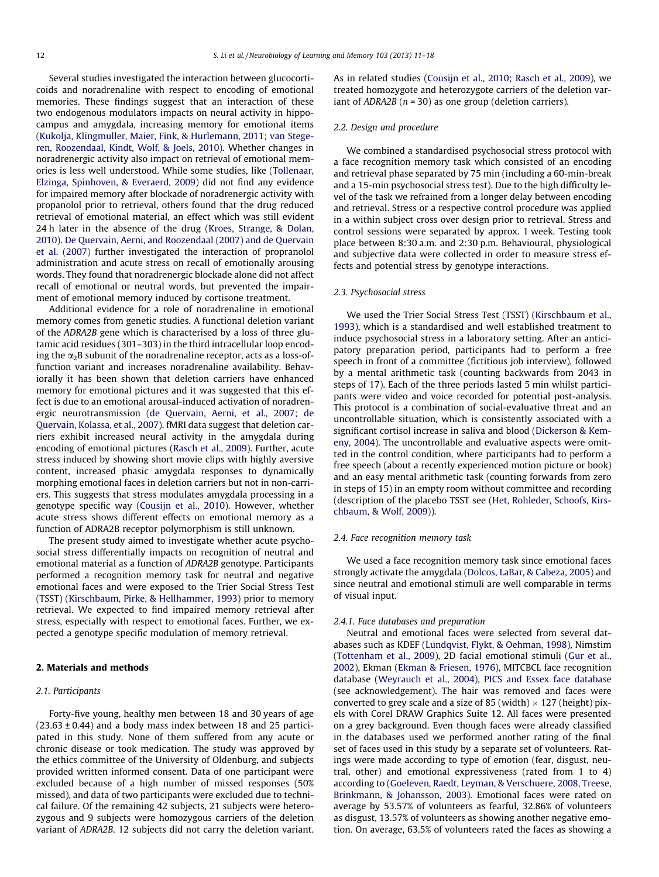Several studies investigated the interaction between glucocorticoids and noradrenaline with respect to encoding of emotional memories. These findings suggest that an interaction of these two endogenous modulators impacts on neural activity in hippocampus and amygdala, increasing memory for emotional items ([Kukolja, Klingmuller, Maier, Fink, & Hurlemann, 2011; van Stege](#page--1-0)[ren, Roozendaal, Kindt, Wolf, & Joels, 2010](#page--1-0)). Whether changes in noradrenergic activity also impact on retrieval of emotional memories is less well understood. While some studies, like ([Tollenaar,](#page--1-0) [Elzinga, Spinhoven, & Everaerd, 2009\)](#page--1-0) did not find any evidence for impaired memory after blockade of noradrenergic activity with propanolol prior to retrieval, others found that the drug reduced retrieval of emotional material, an effect which was still evident 24 h later in the absence of the drug ([Kroes, Strange, & Dolan,](#page--1-0) [2010\)](#page--1-0). [De Quervain, Aerni, and Roozendaal \(2007\) and de Quervain](#page--1-0) [et al. \(2007\)](#page--1-0) further investigated the interaction of propranolol administration and acute stress on recall of emotionally arousing words. They found that noradrenergic blockade alone did not affect recall of emotional or neutral words, but prevented the impairment of emotional memory induced by cortisone treatment.

Additional evidence for a role of noradrenaline in emotional memory comes from genetic studies. A functional deletion variant of the ADRA2B gene which is characterised by a loss of three glutamic acid residues (301–303) in the third intracellular loop encoding the  $\alpha_2$ B subunit of the noradrenaline receptor, acts as a loss-offunction variant and increases noradrenaline availability. Behaviorally it has been shown that deletion carriers have enhanced memory for emotional pictures and it was suggested that this effect is due to an emotional arousal-induced activation of noradrenergic neurotransmission [\(de Quervain, Aerni, et al., 2007; de](#page--1-0) [Quervain, Kolassa, et al., 2007](#page--1-0)). fMRI data suggest that deletion carriers exhibit increased neural activity in the amygdala during encoding of emotional pictures ([Rasch et al., 2009](#page--1-0)). Further, acute stress induced by showing short movie clips with highly aversive content, increased phasic amygdala responses to dynamically morphing emotional faces in deletion carriers but not in non-carriers. This suggests that stress modulates amygdala processing in a genotype specific way ([Cousijn et al., 2010](#page--1-0)). However, whether acute stress shows different effects on emotional memory as a function of ADRA2B receptor polymorphism is still unknown.

The present study aimed to investigate whether acute psychosocial stress differentially impacts on recognition of neutral and emotional material as a function of ADRA2B genotype. Participants performed a recognition memory task for neutral and negative emotional faces and were exposed to the Trier Social Stress Test (TSST) [\(Kirschbaum, Pirke, & Hellhammer, 1993\)](#page--1-0) prior to memory retrieval. We expected to find impaired memory retrieval after stress, especially with respect to emotional faces. Further, we expected a genotype specific modulation of memory retrieval.

#### 2. Materials and methods

### 2.1. Participants

Forty-five young, healthy men between 18 and 30 years of age  $(23.63 \pm 0.44)$  and a body mass index between 18 and 25 participated in this study. None of them suffered from any acute or chronic disease or took medication. The study was approved by the ethics committee of the University of Oldenburg, and subjects provided written informed consent. Data of one participant were excluded because of a high number of missed responses (50% missed), and data of two participants were excluded due to technical failure. Of the remaining 42 subjects, 21 subjects were heterozygous and 9 subjects were homozygous carriers of the deletion variant of ADRA2B. 12 subjects did not carry the deletion variant. As in related studies ([Cousijn et al., 2010; Rasch et al., 2009\)](#page--1-0), we treated homozygote and heterozygote carriers of the deletion variant of  $ADRA2B$  ( $n = 30$ ) as one group (deletion carriers).

#### 2.2. Design and procedure

We combined a standardised psychosocial stress protocol with a face recognition memory task which consisted of an encoding and retrieval phase separated by 75 min (including a 60-min-break and a 15-min psychosocial stress test). Due to the high difficulty level of the task we refrained from a longer delay between encoding and retrieval. Stress or a respective control procedure was applied in a within subject cross over design prior to retrieval. Stress and control sessions were separated by approx. 1 week. Testing took place between 8:30 a.m. and 2:30 p.m. Behavioural, physiological and subjective data were collected in order to measure stress effects and potential stress by genotype interactions.

#### 2.3. Psychosocial stress

We used the Trier Social Stress Test (TSST) ([Kirschbaum et al.,](#page--1-0) [1993\)](#page--1-0), which is a standardised and well established treatment to induce psychosocial stress in a laboratory setting. After an anticipatory preparation period, participants had to perform a free speech in front of a committee (fictitious job interview), followed by a mental arithmetic task (counting backwards from 2043 in steps of 17). Each of the three periods lasted 5 min whilst participants were video and voice recorded for potential post-analysis. This protocol is a combination of social-evaluative threat and an uncontrollable situation, which is consistently associated with a significant cortisol increase in saliva and blood [\(Dickerson & Kem](#page--1-0)[eny, 2004\)](#page--1-0). The uncontrollable and evaluative aspects were omitted in the control condition, where participants had to perform a free speech (about a recently experienced motion picture or book) and an easy mental arithmetic task (counting forwards from zero in steps of 15) in an empty room without committee and recording (description of the placebo TSST see [\(Het, Rohleder, Schoofs, Kirs](#page--1-0)[chbaum, & Wolf, 2009\)](#page--1-0)).

### 2.4. Face recognition memory task

We used a face recognition memory task since emotional faces strongly activate the amygdala ([Dolcos, LaBar, & Cabeza, 2005\)](#page--1-0) and since neutral and emotional stimuli are well comparable in terms of visual input.

## 2.4.1. Face databases and preparation

Neutral and emotional faces were selected from several databases such as KDEF ([Lundqvist, Flykt, & Oehman, 1998\)](#page--1-0), Nimstim ([Tottenham et al., 2009](#page--1-0)), 2D facial emotional stimuli ([Gur et al.,](#page--1-0) [2002\)](#page--1-0), Ekman ([Ekman & Friesen, 1976\)](#page--1-0), MITCBCL face recognition database ([Weyrauch et al., 2004\)](#page--1-0), [PICS and Essex face database](#page--1-0) (see acknowledgement). The hair was removed and faces were converted to grey scale and a size of 85 (width)  $\times$  127 (height) pixels with Corel DRAW Graphics Suite 12. All faces were presented on a grey background. Even though faces were already classified in the databases used we performed another rating of the final set of faces used in this study by a separate set of volunteers. Ratings were made according to type of emotion (fear, disgust, neutral, other) and emotional expressiveness (rated from 1 to 4) according to ([Goeleven, Raedt, Leyman, & Verschuere, 2008,](#page--1-0) [Treese,](#page--1-0) [Brinkmann, & Johansson, 2003](#page--1-0)). Emotional faces were rated on average by 53.57% of volunteers as fearful, 32.86% of volunteers as disgust, 13.57% of volunteers as showing another negative emotion. On average, 63.5% of volunteers rated the faces as showing a